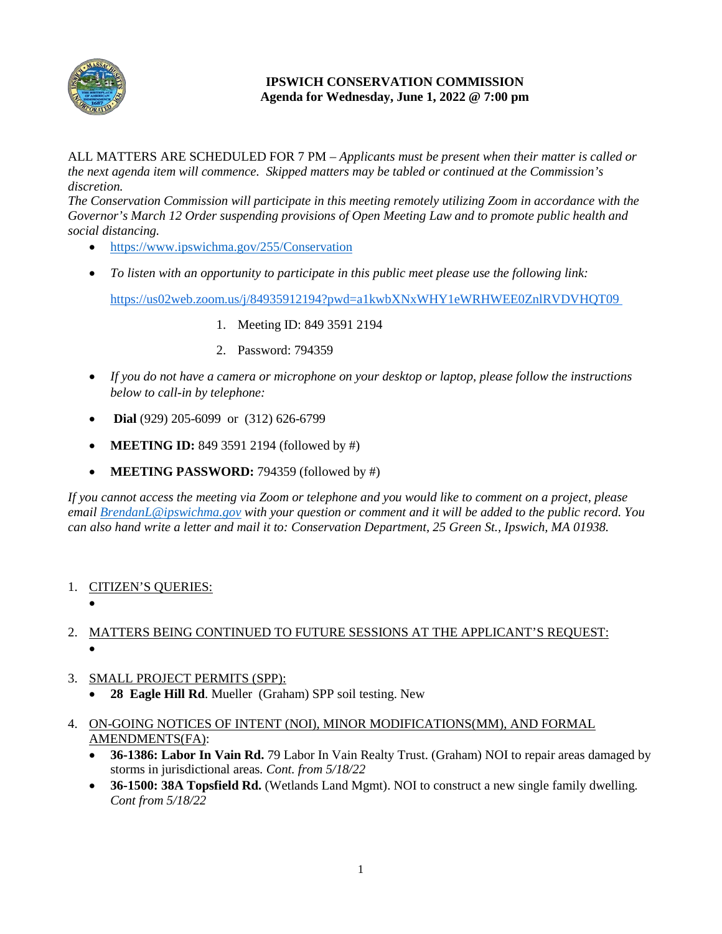

## **IPSWICH CONSERVATION COMMISSION Agenda for Wednesday, June 1, 2022 @ 7:00 pm**

ALL MATTERS ARE SCHEDULED FOR 7 PM – *Applicants must be present when their matter is called or the next agenda item will commence. Skipped matters may be tabled or continued at the Commission's discretion.*

*The Conservation Commission will participate in this meeting remotely utilizing Zoom in accordance with the Governor's March 12 Order suspending provisions of Open Meeting Law and to promote public health and social distancing.*

- <https://www.ipswichma.gov/255/Conservation>
- *To listen with an opportunity to participate in this public meet please use the following link:* <https://us02web.zoom.us/j/84935912194?pwd=a1kwbXNxWHY1eWRHWEE0ZnlRVDVHQT09>
	- 1. Meeting ID: 849 3591 2194
	- 2. Password: 794359
- *If you do not have a camera or microphone on your desktop or laptop, please follow the instructions below to call-in by telephone:*
- **Dial** (929) 205-6099 or (312) 626-6799
- **MEETING ID:** 849 3591 2194 (followed by #)
- **MEETING PASSWORD:** 794359 (followed by #)

*If you cannot access the meeting via Zoom or telephone and you would like to comment on a project, please email [BrendanL@ipswichma.gov](mailto:BrendanL@ipswichma.gov) with your question or comment and it will be added to the public record. You can also hand write a letter and mail it to: Conservation Department, 25 Green St., Ipswich, MA 01938.* 

- 1. CITIZEN'S QUERIES:
	- •

## 2. MATTERS BEING CONTINUED TO FUTURE SESSIONS AT THE APPLICANT'S REQUEST: •

- 3. SMALL PROJECT PERMITS (SPP):
	- **28 Eagle Hill Rd**. Mueller (Graham) SPP soil testing. New
- 4. ON-GOING NOTICES OF INTENT (NOI), MINOR MODIFICATIONS(MM), AND FORMAL AMENDMENTS(FA):
	- **36-1386: Labor In Vain Rd.** 79 Labor In Vain Realty Trust. (Graham) NOI to repair areas damaged by storms in jurisdictional areas*. Cont. from 5/18/22*
	- **36-1500: 38A Topsfield Rd.** (Wetlands Land Mgmt). NOI to construct a new single family dwelling*. Cont from 5/18/22*